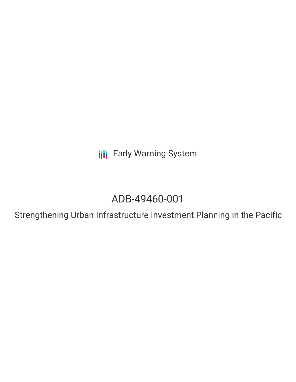**III** Early Warning System

# ADB-49460-001

Strengthening Urban Infrastructure Investment Planning in the Pacific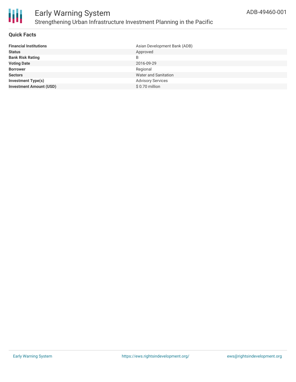

### **Quick Facts**

| <b>Financial Institutions</b>  | Asian Development Bank (ADB) |
|--------------------------------|------------------------------|
| <b>Status</b>                  | Approved                     |
| <b>Bank Risk Rating</b>        | B                            |
| <b>Voting Date</b>             | 2016-09-29                   |
| <b>Borrower</b>                | Regional                     |
| <b>Sectors</b>                 | <b>Water and Sanitation</b>  |
| <b>Investment Type(s)</b>      | <b>Advisory Services</b>     |
| <b>Investment Amount (USD)</b> | \$0.70 million               |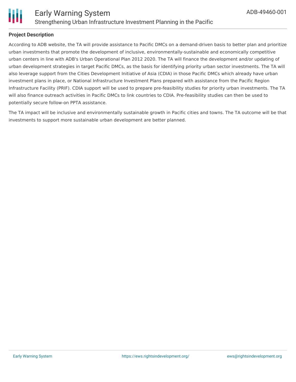

### **Project Description**

According to ADB website, the TA will provide assistance to Pacific DMCs on a demand-driven basis to better plan and prioritize urban investments that promote the development of inclusive, environmentally-sustainable and economically competitive urban centers in line with ADB's Urban Operational Plan 2012 2020. The TA will finance the development and/or updating of urban development strategies in target Pacific DMCs, as the basis for identifying priority urban sector investments. The TA will also leverage support from the Cities Development Initiative of Asia (CDIA) in those Pacific DMCs which already have urban investment plans in place, or National Infrastructure Investment Plans prepared with assistance from the Pacific Region Infrastructure Facility (PRIF). CDIA support will be used to prepare pre-feasibility studies for priority urban investments. The TA will also finance outreach activities in Pacific DMCs to link countries to CDIA. Pre-feasibility studies can then be used to potentially secure follow-on PPTA assistance.

The TA impact will be inclusive and environmentally sustainable growth in Pacific cities and towns. The TA outcome will be that investments to support more sustainable urban development are better planned.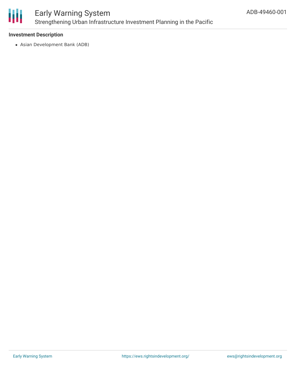

## Early Warning System Strengthening Urban Infrastructure Investment Planning in the Pacific

### **Investment Description**

Asian Development Bank (ADB)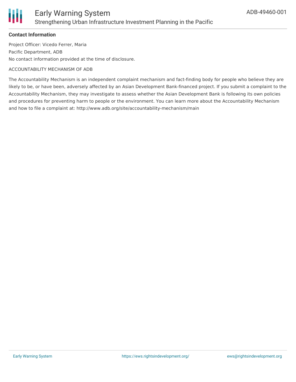

### **Contact Information**

Project Officer: Vicedo Ferrer, Maria Pacific Department, ADB No contact information provided at the time of disclosure.

#### ACCOUNTABILITY MECHANISM OF ADB

The Accountability Mechanism is an independent complaint mechanism and fact-finding body for people who believe they are likely to be, or have been, adversely affected by an Asian Development Bank-financed project. If you submit a complaint to the Accountability Mechanism, they may investigate to assess whether the Asian Development Bank is following its own policies and procedures for preventing harm to people or the environment. You can learn more about the Accountability Mechanism and how to file a complaint at: http://www.adb.org/site/accountability-mechanism/main